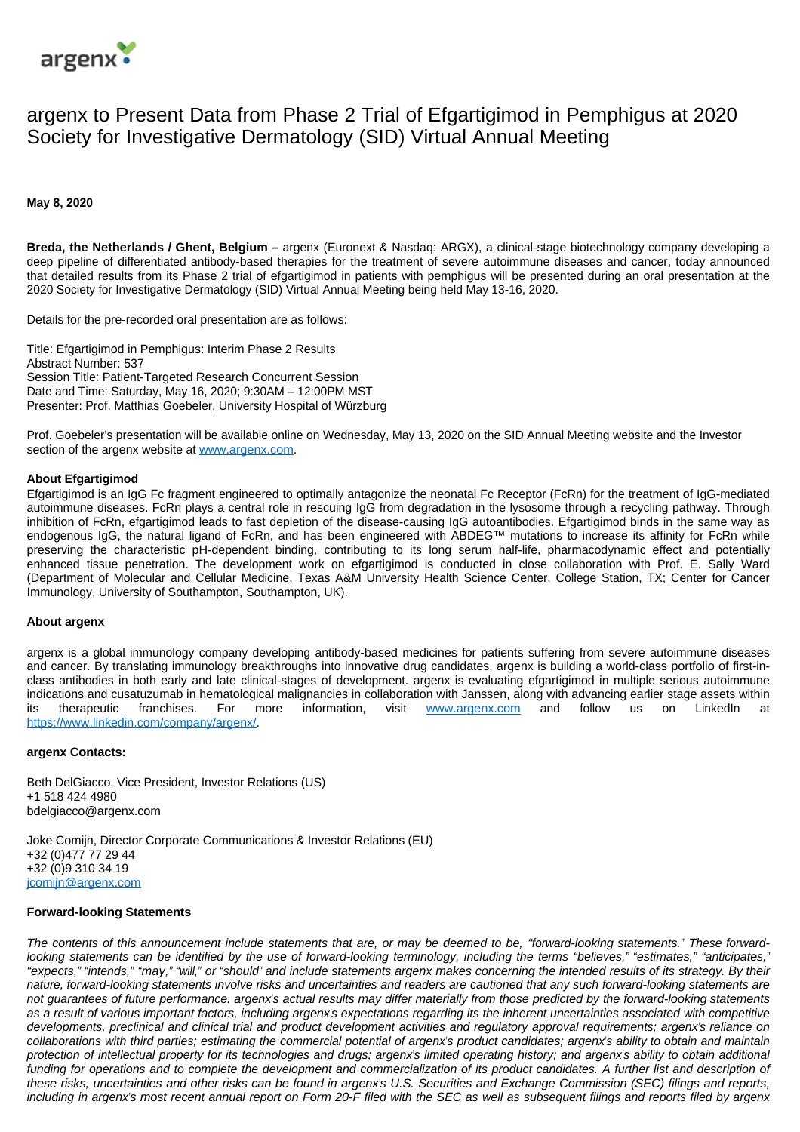

# argenx to Present Data from Phase 2 Trial of Efgartigimod in Pemphigus at 2020 Society for Investigative Dermatology (SID) Virtual Annual Meeting

## **May 8, 2020**

**Breda, the Netherlands / Ghent, Belgium –** argenx (Euronext & Nasdaq: ARGX), a clinical-stage biotechnology company developing a deep pipeline of differentiated antibody-based therapies for the treatment of severe autoimmune diseases and cancer, today announced that detailed results from its Phase 2 trial of efgartigimod in patients with pemphigus will be presented during an oral presentation at the 2020 Society for Investigative Dermatology (SID) Virtual Annual Meeting being held May 13-16, 2020.

Details for the pre-recorded oral presentation are as follows:

Title: Efgartigimod in Pemphigus: Interim Phase 2 Results Abstract Number: 537 Session Title: Patient-Targeted Research Concurrent Session Date and Time: Saturday, May 16, 2020; 9:30AM – 12:00PM MST Presenter: Prof. Matthias Goebeler, University Hospital of Würzburg

Prof. Goebeler's presentation will be available online on Wednesday, May 13, 2020 on the SID Annual Meeting website and the Investor section of the argenx website at [www.argenx.com](http://investor.argenx.com/events-presentations).

### **About Efgartigimod**

Efgartigimod is an IgG Fc fragment engineered to optimally antagonize the neonatal Fc Receptor (FcRn) for the treatment of IgG-mediated autoimmune diseases. FcRn plays a central role in rescuing IgG from degradation in the lysosome through a recycling pathway. Through inhibition of FcRn, efgartigimod leads to fast depletion of the disease-causing IgG autoantibodies. Efgartigimod binds in the same way as endogenous IgG, the natural ligand of FcRn, and has been engineered with ABDEG™ mutations to increase its affinity for FcRn while preserving the characteristic pH-dependent binding, contributing to its long serum half-life, pharmacodynamic effect and potentially enhanced tissue penetration. The development work on efgartigimod is conducted in close collaboration with Prof. E. Sally Ward (Department of Molecular and Cellular Medicine, Texas A&M University Health Science Center, College Station, TX; Center for Cancer Immunology, University of Southampton, Southampton, UK).

### **About argenx**

argenx is a global immunology company developing antibody-based medicines for patients suffering from severe autoimmune diseases and cancer. By translating immunology breakthroughs into innovative drug candidates, argenx is building a world-class portfolio of first-inclass antibodies in both early and late clinical-stages of development. argenx is evaluating efgartigimod in multiple serious autoimmune indications and cusatuzumab in hematological malignancies in collaboration with Janssen, along with advancing earlier stage assets within its therapeutic franchises. For more information, visit [www.argenx.com](http://www.argenx.com/) and follow us on LinkedIn at [https://www.linkedin.com/company/argenx/.](https://www.linkedin.com/company/argenx/)

### **argenx Contacts:**

Beth DelGiacco, Vice President, Investor Relations (US) +1 518 424 4980 bdelgiacco@argenx.com

Joke Comijn, Director Corporate Communications & Investor Relations (EU) +32 (0)477 77 29 44 +32 (0)9 310 34 19 [jcomijn@argenx.com](mailto:jcomijn@argenx.com)

#### **Forward-looking Statements**

The contents of this announcement include statements that are, or may be deemed to be, "forward-looking statements." These forwardlooking statements can be identified by the use of forward-looking terminology, including the terms "believes," "estimates," "anticipates," "expects," "intends," "may," "will," or "should" and include statements argenx makes concerning the intended results of its strategy. By their nature, forward-looking statements involve risks and uncertainties and readers are cautioned that any such forward-looking statements are not guarantees of future performance. argenx's actual results may differ materially from those predicted by the forward-looking statements as a result of various important factors, including argenx's expectations regarding its the inherent uncertainties associated with competitive developments, preclinical and clinical trial and product development activities and regulatory approval requirements; argenx's reliance on collaborations with third parties; estimating the commercial potential of argenx's product candidates; argenx's ability to obtain and maintain protection of intellectual property for its technologies and drugs; argenx's limited operating history; and argenx's ability to obtain additional funding for operations and to complete the development and commercialization of its product candidates. A further list and description of these risks, uncertainties and other risks can be found in argenx's U.S. Securities and Exchange Commission (SEC) filings and reports, including in argenx's most recent annual report on Form 20-F filed with the SEC as well as subsequent filings and reports filed by argenx